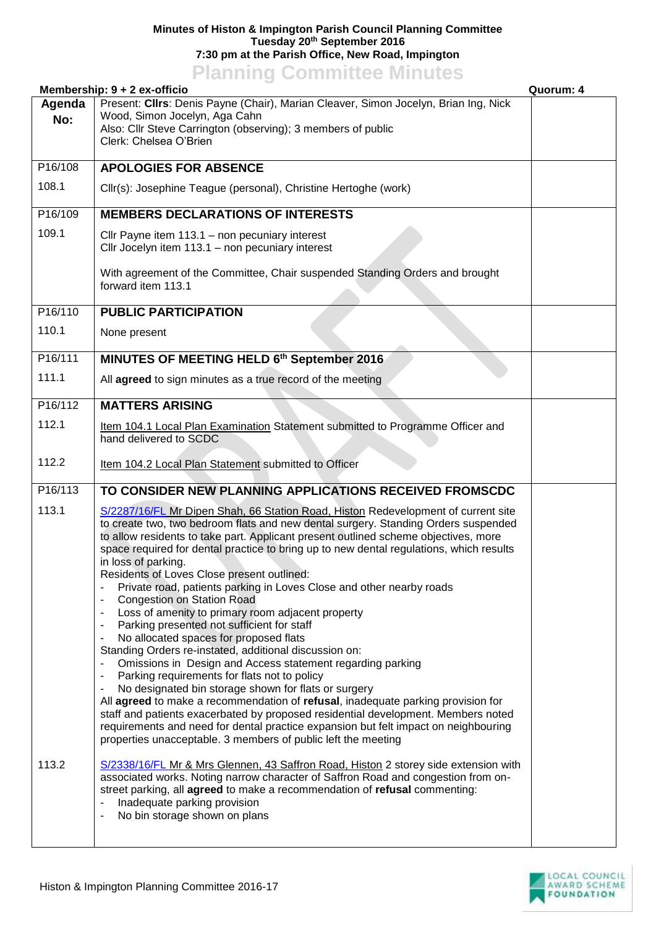## **Minutes of Histon & Impington Parish Council Planning Committee Tuesday 20th September 2016 7:30 pm at the Parish Office, New Road, Impington**

## **Planning Committee Minutes**

|         | Membership: 9 + 2 ex-officio                                                                                                                                                                                                                                                                                                                                                                                                                                                                                                                                                                                                                                                                                                                                                                                                                                                                                                                                                                                                                                                                                                                                                                                                                                   | Quorum: 4 |
|---------|----------------------------------------------------------------------------------------------------------------------------------------------------------------------------------------------------------------------------------------------------------------------------------------------------------------------------------------------------------------------------------------------------------------------------------------------------------------------------------------------------------------------------------------------------------------------------------------------------------------------------------------------------------------------------------------------------------------------------------------------------------------------------------------------------------------------------------------------------------------------------------------------------------------------------------------------------------------------------------------------------------------------------------------------------------------------------------------------------------------------------------------------------------------------------------------------------------------------------------------------------------------|-----------|
| Agenda  | Present: Cllrs: Denis Payne (Chair), Marian Cleaver, Simon Jocelyn, Brian Ing, Nick                                                                                                                                                                                                                                                                                                                                                                                                                                                                                                                                                                                                                                                                                                                                                                                                                                                                                                                                                                                                                                                                                                                                                                            |           |
| No:     | Wood, Simon Jocelyn, Aga Cahn<br>Also: Cllr Steve Carrington (observing); 3 members of public                                                                                                                                                                                                                                                                                                                                                                                                                                                                                                                                                                                                                                                                                                                                                                                                                                                                                                                                                                                                                                                                                                                                                                  |           |
|         | Clerk: Chelsea O'Brien                                                                                                                                                                                                                                                                                                                                                                                                                                                                                                                                                                                                                                                                                                                                                                                                                                                                                                                                                                                                                                                                                                                                                                                                                                         |           |
| P16/108 | <b>APOLOGIES FOR ABSENCE</b>                                                                                                                                                                                                                                                                                                                                                                                                                                                                                                                                                                                                                                                                                                                                                                                                                                                                                                                                                                                                                                                                                                                                                                                                                                   |           |
| 108.1   | Cllr(s): Josephine Teague (personal), Christine Hertoghe (work)                                                                                                                                                                                                                                                                                                                                                                                                                                                                                                                                                                                                                                                                                                                                                                                                                                                                                                                                                                                                                                                                                                                                                                                                |           |
| P16/109 | <b>MEMBERS DECLARATIONS OF INTERESTS</b>                                                                                                                                                                                                                                                                                                                                                                                                                                                                                                                                                                                                                                                                                                                                                                                                                                                                                                                                                                                                                                                                                                                                                                                                                       |           |
| 109.1   | Cllr Payne item 113.1 - non pecuniary interest<br>Cllr Jocelyn item 113.1 - non pecuniary interest                                                                                                                                                                                                                                                                                                                                                                                                                                                                                                                                                                                                                                                                                                                                                                                                                                                                                                                                                                                                                                                                                                                                                             |           |
|         | With agreement of the Committee, Chair suspended Standing Orders and brought<br>forward item 113.1                                                                                                                                                                                                                                                                                                                                                                                                                                                                                                                                                                                                                                                                                                                                                                                                                                                                                                                                                                                                                                                                                                                                                             |           |
| P16/110 | <b>PUBLIC PARTICIPATION</b>                                                                                                                                                                                                                                                                                                                                                                                                                                                                                                                                                                                                                                                                                                                                                                                                                                                                                                                                                                                                                                                                                                                                                                                                                                    |           |
| 110.1   | None present                                                                                                                                                                                                                                                                                                                                                                                                                                                                                                                                                                                                                                                                                                                                                                                                                                                                                                                                                                                                                                                                                                                                                                                                                                                   |           |
| P16/111 | MINUTES OF MEETING HELD 6th September 2016                                                                                                                                                                                                                                                                                                                                                                                                                                                                                                                                                                                                                                                                                                                                                                                                                                                                                                                                                                                                                                                                                                                                                                                                                     |           |
| 111.1   | All agreed to sign minutes as a true record of the meeting                                                                                                                                                                                                                                                                                                                                                                                                                                                                                                                                                                                                                                                                                                                                                                                                                                                                                                                                                                                                                                                                                                                                                                                                     |           |
| P16/112 | <b>MATTERS ARISING</b>                                                                                                                                                                                                                                                                                                                                                                                                                                                                                                                                                                                                                                                                                                                                                                                                                                                                                                                                                                                                                                                                                                                                                                                                                                         |           |
| 112.1   | Item 104.1 Local Plan Examination Statement submitted to Programme Officer and<br>hand delivered to SCDC                                                                                                                                                                                                                                                                                                                                                                                                                                                                                                                                                                                                                                                                                                                                                                                                                                                                                                                                                                                                                                                                                                                                                       |           |
| 112.2   | Item 104.2 Local Plan Statement submitted to Officer                                                                                                                                                                                                                                                                                                                                                                                                                                                                                                                                                                                                                                                                                                                                                                                                                                                                                                                                                                                                                                                                                                                                                                                                           |           |
| P16/113 | TO CONSIDER NEW PLANNING APPLICATIONS RECEIVED FROMSCDC                                                                                                                                                                                                                                                                                                                                                                                                                                                                                                                                                                                                                                                                                                                                                                                                                                                                                                                                                                                                                                                                                                                                                                                                        |           |
| 113.1   | S/2287/16/FL Mr Dipen Shah, 66 Station Road, Histon Redevelopment of current site<br>to create two, two bedroom flats and new dental surgery. Standing Orders suspended<br>to allow residents to take part. Applicant present outlined scheme objectives, more<br>space required for dental practice to bring up to new dental regulations, which results<br>in loss of parking.<br>Residents of Loves Close present outlined:<br>Private road, patients parking in Loves Close and other nearby roads<br><b>Congestion on Station Road</b><br>Loss of amenity to primary room adjacent property<br>٠<br>Parking presented not sufficient for staff<br>No allocated spaces for proposed flats<br>Standing Orders re-instated, additional discussion on:<br>Omissions in Design and Access statement regarding parking<br>Parking requirements for flats not to policy<br>No designated bin storage shown for flats or surgery<br>All agreed to make a recommendation of refusal, inadequate parking provision for<br>staff and patients exacerbated by proposed residential development. Members noted<br>requirements and need for dental practice expansion but felt impact on neighbouring<br>properties unacceptable. 3 members of public left the meeting |           |
| 113.2   | S/2338/16/FL Mr & Mrs Glennen, 43 Saffron Road, Histon 2 storey side extension with<br>associated works. Noting narrow character of Saffron Road and congestion from on-<br>street parking, all agreed to make a recommendation of refusal commenting:<br>Inadequate parking provision<br>No bin storage shown on plans                                                                                                                                                                                                                                                                                                                                                                                                                                                                                                                                                                                                                                                                                                                                                                                                                                                                                                                                        |           |